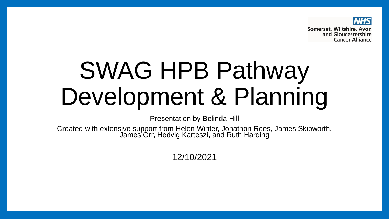

## SWAG HPB Pathway Development & Planning

Presentation by Belinda Hill

Created with extensive support from Helen Winter, Jonathon Rees, James Skipworth, James Orr, Hedvig Karteszi, and Ruth Harding

12/10/2021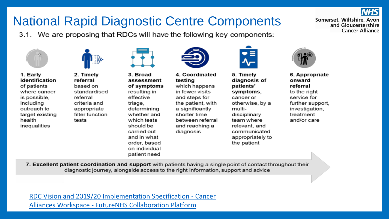## **National Rapid Diagnostic Centre Components**

3.1. We are proposing that RDCs will have the following key components:



1. Early identification of patients where cancer is possible. including outreach to target existing health inequalities

2. Timely referral based on standardised referral criteria and appropriate filter function tests



3. Broad assessment of symptoms resulting in effective triage, determining whether and which tests should be carried out and in what order, based on individual

patient need



4. Coordinated testing which happens in fewer visits and steps for the patient, with a significantly shorter time between referral and reaching a diagnosis



5. Timely diagnosis of patients' symptoms. cancer or otherwise, by a multidisciplinary team where relevant, and communicated appropriately to the patient



Somerset, Wiltshire, Avon

and Gloucestershire **Cancer Alliance** 

6. Appropriate onward referral to the right service for further support. investigation, treatment and/or care

7. Excellent patient coordination and support with patients having a single point of contact throughout their diagnostic journey, alongside access to the right information, support and advice

RDC Vision and 2019/20 Implementation Specification - Cancer **Alliances Workspace - FutureNHS Collaboration Platform**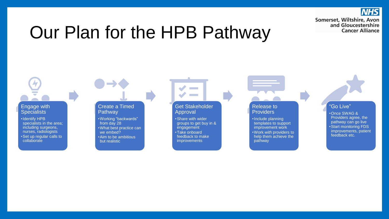**NHS** Somerset, Wiltshire, Avon and Gloucestershire **Cancer Alliance** 

## Our Plan for the HPB Pathway

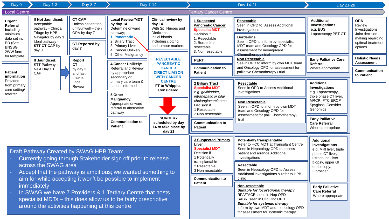| Day 0                                                                                                                                                                                                                                                                        | <b>Day 1-3</b>                                                                                                                                   | Day 3-7                                                                                                      | Day 7-14                                                                                                                                                                                             |                                                                                                                                                                                                                                       | Day 14-21                                                                                                                                                                                                                                                                  |                                                                                                                                                                                                                           | Day 21-28                                                                                                                                     |                                                                                                              |
|------------------------------------------------------------------------------------------------------------------------------------------------------------------------------------------------------------------------------------------------------------------------------|--------------------------------------------------------------------------------------------------------------------------------------------------|--------------------------------------------------------------------------------------------------------------|------------------------------------------------------------------------------------------------------------------------------------------------------------------------------------------------------|---------------------------------------------------------------------------------------------------------------------------------------------------------------------------------------------------------------------------------------|----------------------------------------------------------------------------------------------------------------------------------------------------------------------------------------------------------------------------------------------------------------------------|---------------------------------------------------------------------------------------------------------------------------------------------------------------------------------------------------------------------------|-----------------------------------------------------------------------------------------------------------------------------------------------|--------------------------------------------------------------------------------------------------------------|
| <b>Local Centre</b>                                                                                                                                                                                                                                                          |                                                                                                                                                  |                                                                                                              |                                                                                                                                                                                                      |                                                                                                                                                                                                                                       | <b>Tertiary Cancer Centre</b>                                                                                                                                                                                                                                              |                                                                                                                                                                                                                           |                                                                                                                                               |                                                                                                              |
| <b>Urgent</b><br>Referral<br>Including<br>minimum<br>data set inc.<br>ED (See<br><b>BNSSG</b><br>2WW form                                                                                                                                                                    | If Not Jaundiced:<br>Acceptable<br>pathway - Clinical<br>Triage by HPB<br>Navigator by day 3<br>Ideal pathway -<br><b>STT CT CAP by</b><br>day 3 | <b>CT CAP</b><br>Unless patient too<br>unfit/unwell - then<br>OPA by day 7<br><b>CT Reported by</b><br>day 7 | <b>Local Review/MDT</b><br>by day 14<br>Determine onward<br>pathway;<br>1. Pancreatic<br>2. Biliary Tract<br>3. Primary Liver<br>4. Cancer Unlikely<br>5. Other Malignancy                           | <b>Clinical review by</b><br>day 14<br>With Sp. Nurses and<br><b>Dieticians</b><br>Initial bloods<br>including clotting<br>and tumour markers                                                                                         | 1 Suspected<br><b>Pancreatic Cancer</b><br><b>Specialist MDT</b><br>Decision if<br>1. Resectable<br>2. Borderline<br>resectable<br>3. Non resectable                                                                                                                       | <b>Resectable</b><br>Seen in OPD to Assess Additional<br>investigations<br><b>Borderline</b><br>See in OPD to inform by specialist<br>MDT team and Oncology OPD for<br>assessment for neoadjuvant<br>Chemotherapy / trial | <b>Additional</b><br><b>Investigations</b><br>e.g. EUS<br>Laparoscopy PET CT                                                                  | <b>OPA</b><br>Review<br>Investigations<br>Joint decision<br>making regarding<br>optimal treatment<br>options |
| for template)                                                                                                                                                                                                                                                                | If Jaundiced:<br>STT Pathway:<br>Next Day CT<br>CAP                                                                                              | Report<br><b>CT</b><br>by day 3<br>and fast<br>track to<br>Local<br>Review                                   | 4 Cancer Unlikely:                                                                                                                                                                                   | <b>RESECTABLE</b><br><b>PANCREATIC</b><br><b>CANCER</b><br><b>DIRECT LIAISON</b><br><b>WITH CANCER</b><br><b>CENTRE</b><br>FT to Whipples<br><b>Considered</b><br><b>SURGERY</b><br>scheduled by day<br>14 to take place by<br>day 21 | <b>PERT</b>                                                                                                                                                                                                                                                                | <b>Non Resectable</b><br>See in OPD to inform by own MDT team<br>and Oncology OPD for assessment for<br>palliative Chemotherapy / trial                                                                                   | <b>Early Palliative Care</b><br>Referral                                                                                                      | <b>Holistic Needs</b><br><b>Assessment</b>                                                                   |
| <b>Patient</b><br>information<br>Provided<br>from primary<br>care setting/<br>referrer                                                                                                                                                                                       |                                                                                                                                                  |                                                                                                              | <b>Referral and Review</b><br>by appropriate<br>secondary or<br>primary care team &<br>patient informed<br>5 Other<br><b>Malignancy:</b><br>Appropriate onward<br>referral to alternative<br>pathway |                                                                                                                                                                                                                                       | <b>Communication to</b><br><b>Patient</b>                                                                                                                                                                                                                                  |                                                                                                                                                                                                                           | Where appropriate                                                                                                                             | Communication<br>to Patient                                                                                  |
|                                                                                                                                                                                                                                                                              |                                                                                                                                                  |                                                                                                              |                                                                                                                                                                                                      |                                                                                                                                                                                                                                       | <b>2 Biliary Tract</b><br><b>Specialist MDT</b><br>e.g. gallbladder,<br>intrahepatic or hilar<br>cholangiocarcinoma<br>Decision if<br>1 Resectable<br>2 Non resectable                                                                                                     | Resectable<br>Seen in OPD to Assess Additional<br>investigations                                                                                                                                                          | <b>Additional</b><br><b>Investigations</b><br>e.g. Laparoscopy,<br>triple phase CT liver,<br>MRCP, PTC ERCP<br>Spyglass, Consider<br>Genomics |                                                                                                              |
|                                                                                                                                                                                                                                                                              |                                                                                                                                                  |                                                                                                              |                                                                                                                                                                                                      |                                                                                                                                                                                                                                       |                                                                                                                                                                                                                                                                            | <b>Non Resectable</b><br>Seen in OPD to inform by own MDT<br>team and Oncology OPD for<br>assessment for pall. Chemotherapy /<br>trial                                                                                    |                                                                                                                                               |                                                                                                              |
|                                                                                                                                                                                                                                                                              |                                                                                                                                                  |                                                                                                              | <b>Communication to</b><br><b>Patient</b>                                                                                                                                                            |                                                                                                                                                                                                                                       | <b>Communication to</b><br><b>Patient</b>                                                                                                                                                                                                                                  |                                                                                                                                                                                                                           | <b>Early Palliative</b><br><b>Care Referral</b><br>Where appropriate                                                                          |                                                                                                              |
| Draft Pathway Created by SWAG HPB Team:<br>Currently going through Stakeholder sign off prior to release<br>across the SWAG area<br>Accept that the pathway is ambitious; we wanted something to<br>aim for while accepting it won't be possible to implement<br>immediately |                                                                                                                                                  |                                                                                                              |                                                                                                                                                                                                      | <b>3 Suspected Primary</b><br>Liver<br><b>Specialist MDT</b><br>Decision if<br>1 Potentially<br>transplantable<br>2 Resectable<br>3 Non resectable<br><b>Communication to</b><br><b>Patient</b>                                       | <b>Potentially transplantable</b><br>Refer to HCC MDT at Transplant Centre<br>Seen in Hepatology OPD to assess<br>patient and arrange Additional<br>investigations<br>Resectable<br>Seen in Hepatology OPD to Assess<br>Additional investigations & refer to HPB<br>clinic | <b>Additional</b><br>Investigations<br>e,g, MRI liver, triple<br>phase CT liver,<br>ultrasound, liver<br>biopsy, upper GI<br>endoscopy,<br>Fibroscan                                                                      |                                                                                                                                               |                                                                                                              |
| In SWAG we have 7 Providers & 1 Tertiary Centre that hosts<br>$\equiv$<br>specialist MDTs - this does allow us to be fairly prescriptive<br>around the activities happening at this centre.                                                                                  |                                                                                                                                                  |                                                                                                              |                                                                                                                                                                                                      |                                                                                                                                                                                                                                       |                                                                                                                                                                                                                                                                            | Non-resectable<br>Suitable for locoregional therapy<br>RFA/TACE: seen in Hep OPD<br>SABR: seen in Clin Onc OPD<br>Suitable for systemic therapy<br>Inform by own MDT and oncology OPD                                     | <b>Early Palliative</b><br><b>Care Referral</b><br>Where appropriate                                                                          |                                                                                                              |

for assessment for systemic therapy